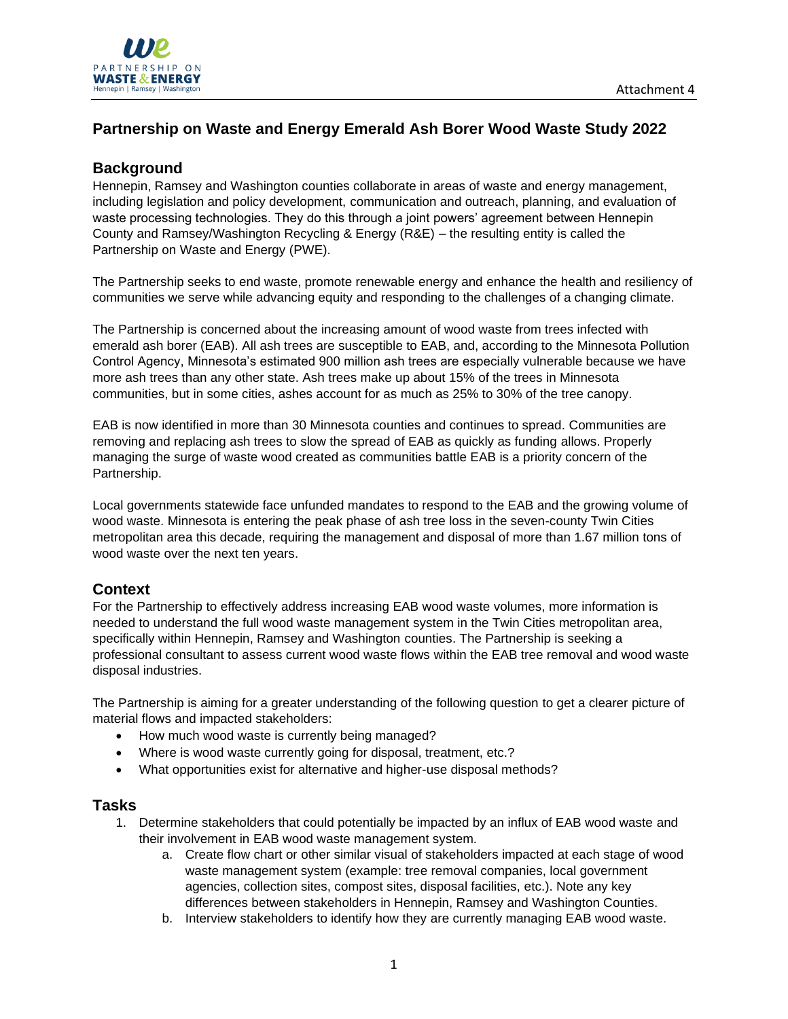

# **Partnership on Waste and Energy Emerald Ash Borer Wood Waste Study 2022**

#### **Background**

Hennepin, Ramsey and Washington counties collaborate in areas of waste and energy management, including legislation and policy development, communication and outreach, planning, and evaluation of waste processing technologies. They do this through a joint powers' agreement between Hennepin County and Ramsey/Washington Recycling & Energy (R&E) – the resulting entity is called the Partnership on Waste and Energy (PWE).

The Partnership seeks to end waste, promote renewable energy and enhance the health and resiliency of communities we serve while advancing equity and responding to the challenges of a changing climate.

The Partnership is concerned about the increasing amount of wood waste from trees infected with emerald ash borer (EAB). All ash trees are susceptible to EAB, and, according to the Minnesota Pollution Control Agency, Minnesota's estimated 900 million ash trees are especially vulnerable because we have more ash trees than any other state. Ash trees make up about 15% of the trees in Minnesota communities, but in some cities, ashes account for as much as 25% to 30% of the tree canopy.

EAB is now identified in more than 30 Minnesota counties and continues to spread. Communities are removing and replacing ash trees to slow the spread of EAB as quickly as funding allows. Properly managing the surge of waste wood created as communities battle EAB is a priority concern of the Partnership.

Local governments statewide face unfunded mandates to respond to the EAB and the growing volume of wood waste. Minnesota is entering the peak phase of ash tree loss in the seven-county Twin Cities metropolitan area this decade, requiring the management and disposal of more than 1.67 million tons of wood waste over the next ten years.

# **Context**

For the Partnership to effectively address increasing EAB wood waste volumes, more information is needed to understand the full wood waste management system in the Twin Cities metropolitan area, specifically within Hennepin, Ramsey and Washington counties. The Partnership is seeking a professional consultant to assess current wood waste flows within the EAB tree removal and wood waste disposal industries.

The Partnership is aiming for a greater understanding of the following question to get a clearer picture of material flows and impacted stakeholders:

- How much wood waste is currently being managed?
- Where is wood waste currently going for disposal, treatment, etc.?
- What opportunities exist for alternative and higher-use disposal methods?

#### **Tasks**

- 1. Determine stakeholders that could potentially be impacted by an influx of EAB wood waste and their involvement in EAB wood waste management system.
	- a. Create flow chart or other similar visual of stakeholders impacted at each stage of wood waste management system (example: tree removal companies, local government agencies, collection sites, compost sites, disposal facilities, etc.). Note any key differences between stakeholders in Hennepin, Ramsey and Washington Counties.
	- b. Interview stakeholders to identify how they are currently managing EAB wood waste.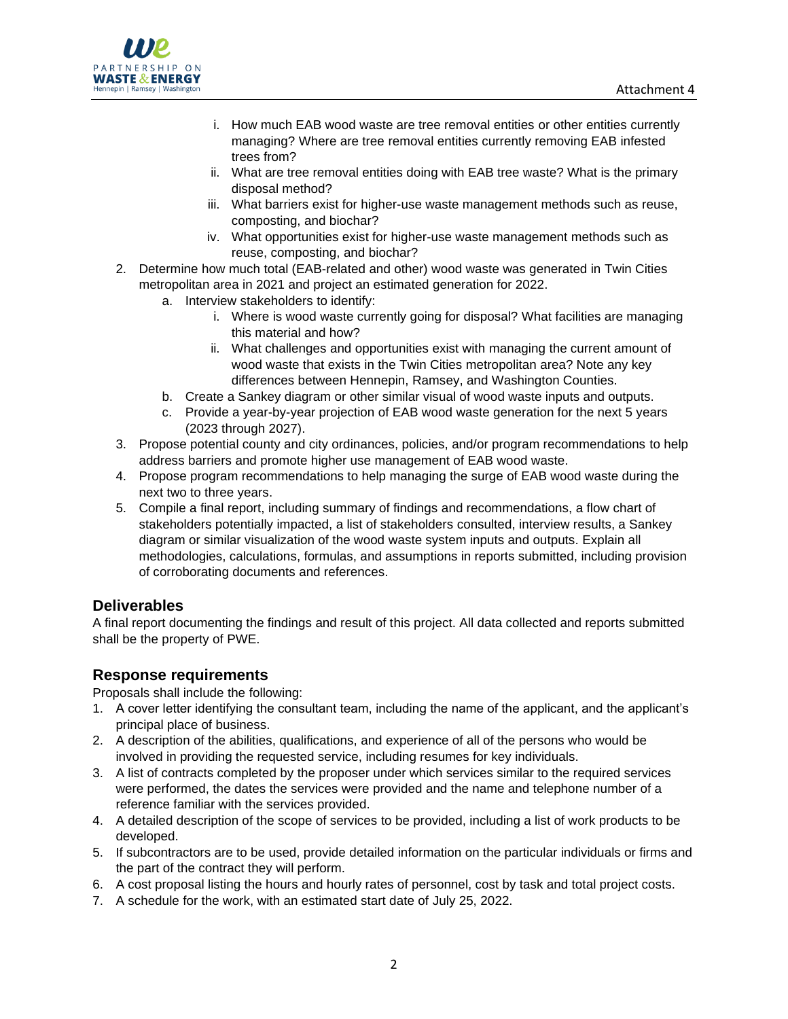

- i. How much EAB wood waste are tree removal entities or other entities currently managing? Where are tree removal entities currently removing EAB infested trees from?
- ii. What are tree removal entities doing with EAB tree waste? What is the primary disposal method?
- iii. What barriers exist for higher-use waste management methods such as reuse, composting, and biochar?
- iv. What opportunities exist for higher-use waste management methods such as reuse, composting, and biochar?
- 2. Determine how much total (EAB-related and other) wood waste was generated in Twin Cities metropolitan area in 2021 and project an estimated generation for 2022.
	- a. Interview stakeholders to identify:
		- i. Where is wood waste currently going for disposal? What facilities are managing this material and how?
		- ii. What challenges and opportunities exist with managing the current amount of wood waste that exists in the Twin Cities metropolitan area? Note any key differences between Hennepin, Ramsey, and Washington Counties.
	- b. Create a Sankey diagram or other similar visual of wood waste inputs and outputs.
	- c. Provide a year-by-year projection of EAB wood waste generation for the next 5 years (2023 through 2027).
- 3. Propose potential county and city ordinances, policies, and/or program recommendations to help address barriers and promote higher use management of EAB wood waste.
- 4. Propose program recommendations to help managing the surge of EAB wood waste during the next two to three years.
- 5. Compile a final report, including summary of findings and recommendations, a flow chart of stakeholders potentially impacted, a list of stakeholders consulted, interview results, a Sankey diagram or similar visualization of the wood waste system inputs and outputs. Explain all methodologies, calculations, formulas, and assumptions in reports submitted, including provision of corroborating documents and references.

# **Deliverables**

A final report documenting the findings and result of this project. All data collected and reports submitted shall be the property of PWE.

# **Response requirements**

Proposals shall include the following:

- 1. A cover letter identifying the consultant team, including the name of the applicant, and the applicant's principal place of business.
- 2. A description of the abilities, qualifications, and experience of all of the persons who would be involved in providing the requested service, including resumes for key individuals.
- 3. A list of contracts completed by the proposer under which services similar to the required services were performed, the dates the services were provided and the name and telephone number of a reference familiar with the services provided.
- 4. A detailed description of the scope of services to be provided, including a list of work products to be developed.
- 5. If subcontractors are to be used, provide detailed information on the particular individuals or firms and the part of the contract they will perform.
- 6. A cost proposal listing the hours and hourly rates of personnel, cost by task and total project costs.
- 7. A schedule for the work, with an estimated start date of July 25, 2022.